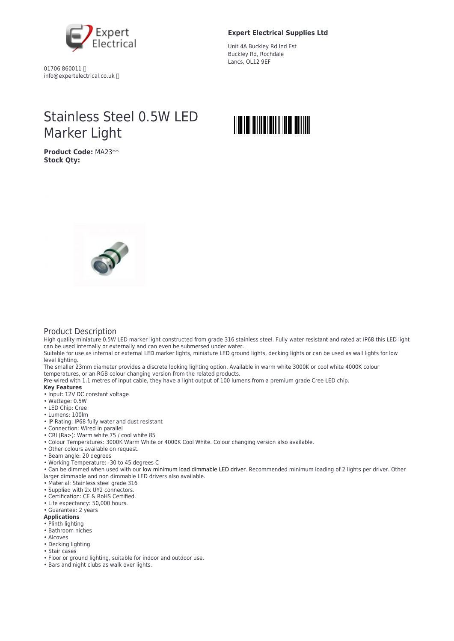

01706 860011 info@expertelectrical.co.uk

## **Expert Electrical Supplies Ltd**

Unit 4A Buckley Rd Ind Est Buckley Rd, Rochdale Lancs, OL12 9EF

# Stainless Steel 0.5W LED Marker Light

**Product Code:** MA23\*\* **Stock Qty:**





## Product Description

High quality miniature 0.5W LED marker light constructed from grade 316 stainless steel. Fully water resistant and rated at IP68 this LED light can be used internally or externally and can even be submersed under water.

Suitable for use as internal or external LED marker lights, miniature LED ground lights, decking lights or can be used as wall lights for low level lighting.

The smaller 23mm diameter provides a discrete looking lighting option. Available in warm white 3000K or cool white 4000K colour temperatures, or an RGB colour changing version from the related products.

Pre-wired with 1.1 metres of input cable, they have a light output of 100 lumens from a premium grade Cree LED chip.

### **Key Features**

- Input: 12V DC constant voltage
- Wattage: 0.5W
- LED Chip: Cree
- Lumens: 100lm
- IP Rating: IP68 fully water and dust resistant
- Connection: Wired in parallel
- CRI (Ra>): Warm white 75 / cool white 85
- Colour Temperatures: 3000K Warm White or 4000K Cool White. Colour changing version also available.
- Other colours available on request.
- Beam angle: 20 degrees
- Working Temperature: -30 to 45 degrees C
- Can be dimmed when used with our [low minimum load dimmable LED driver](https://www.downlightsdirect.co.uk/triac-dimmable-led-driver-15w.html). Recommended minimum loading of 2 lights per driver. Other larger dimmable and non dimmable LED drivers also available.
- Material: Stainless steel grade 316
- Supplied with 2x UY2 connectors.
- Certification: CE & RoHS Certified.
- Life expectancy: 50,000 hours.
- Guarantee: 2 years

#### **Applications**

- Plinth lighting
- Bathroom niches
- Alcoves
- Decking lighting
- Stair cases
- Floor or ground lighting, suitable for indoor and outdoor use.
- Bars and night clubs as walk over lights.